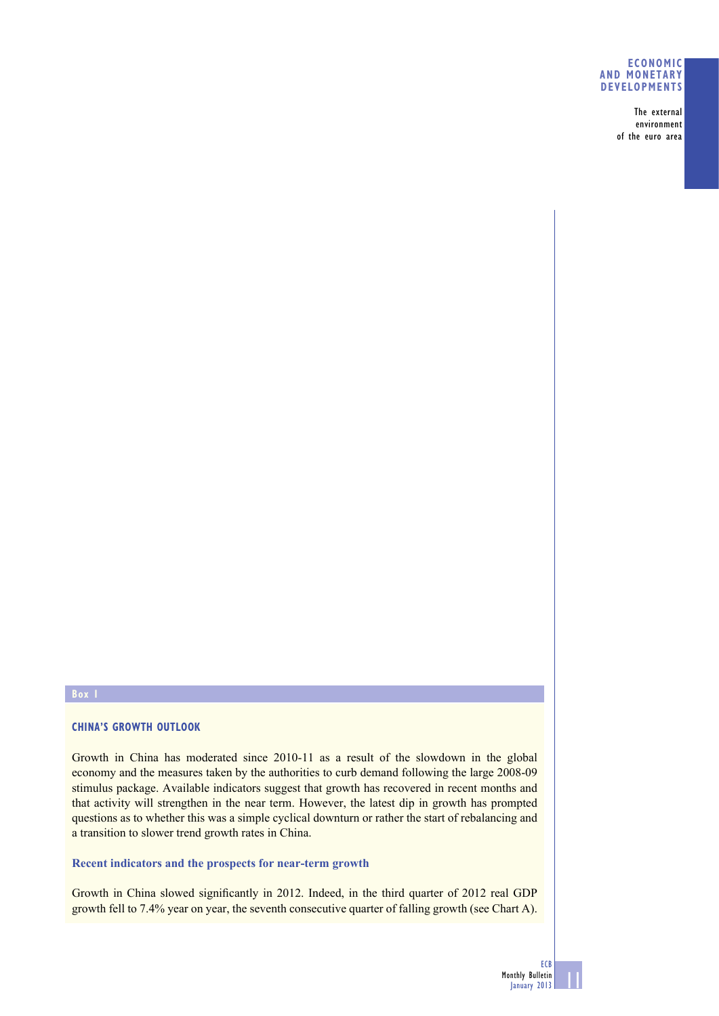### **ECONOMIC AND MONETARY DEVELOPMENTS**

The external environment of the euro area

### **Box 1**

## **CHINA'S GROWTH OUTLOOK**

Growth in China has moderated since 2010-11 as a result of the slowdown in the global economy and the measures taken by the authorities to curb demand following the large 2008-09 stimulus package. Available indicators suggest that growth has recovered in recent months and that activity will strengthen in the near term. However, the latest dip in growth has prompted questions as to whether this was a simple cyclical downturn or rather the start of rebalancing and a transition to slower trend growth rates in China.

# **Recent indicators and the prospects for near-term growth**

Growth in China slowed significantly in 2012. Indeed, in the third quarter of 2012 real GDP growth fell to 7.4% year on year, the seventh consecutive quarter of falling growth (see Chart A).

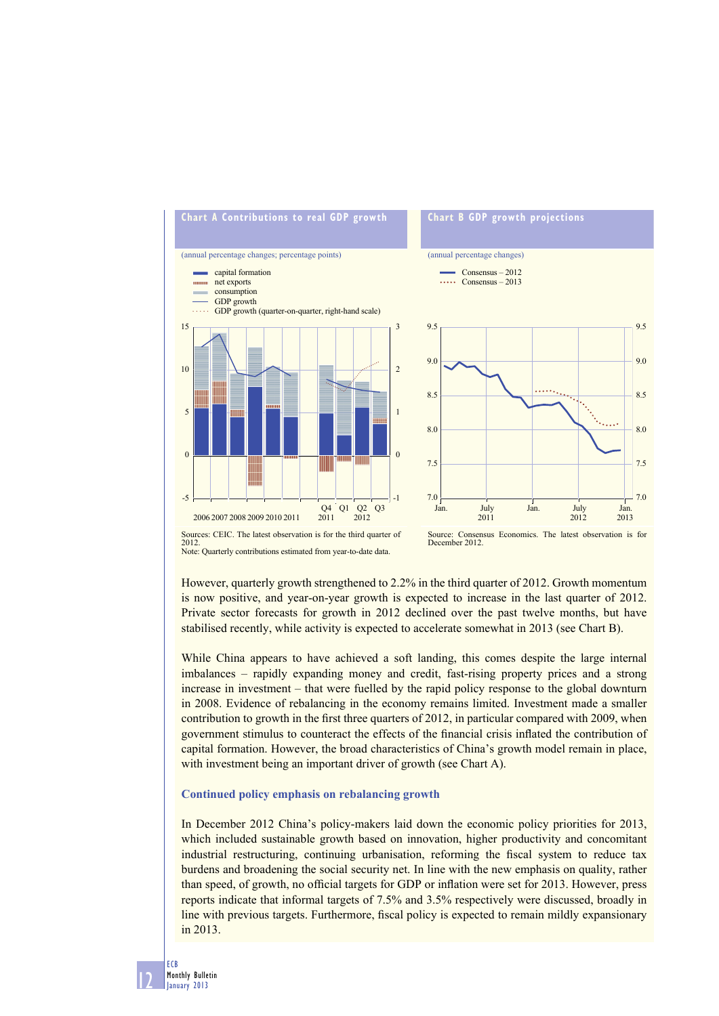

# Sources: CEIC. The latest observation is for the third quarter of 2012. Note: Quarterly contributions estimated from year-to-date data.

Source: Consensus Economics. The latest observation is for December 2012.

However, quarterly growth strengthened to 2.2% in the third quarter of 2012. Growth momentum is now positive, and year-on-year growth is expected to increase in the last quarter of 2012. Private sector forecasts for growth in 2012 declined over the past twelve months, but have stabilised recently, while activity is expected to accelerate somewhat in 2013 (see Chart B).

While China appears to have achieved a soft landing, this comes despite the large internal imbalances – rapidly expanding money and credit, fast-rising property prices and a strong increase in investment – that were fuelled by the rapid policy response to the global downturn in 2008. Evidence of rebalancing in the economy remains limited. Investment made a smaller contribution to growth in the first three quarters of 2012, in particular compared with 2009, when government stimulus to counteract the effects of the financial crisis inflated the contribution of capital formation. However, the broad characteristics of China's growth model remain in place, with investment being an important driver of growth (see Chart A).

## **Continued policy emphasis on rebalancing growth**

In December 2012 China's policy-makers laid down the economic policy priorities for 2013, which included sustainable growth based on innovation, higher productivity and concomitant industrial restructuring, continuing urbanisation, reforming the fiscal system to reduce tax burdens and broadening the social security net. In line with the new emphasis on quality, rather than speed, of growth, no official targets for GDP or inflation were set for 2013. However, press reports indicate that informal targets of 7.5% and 3.5% respectively were discussed, broadly in line with previous targets. Furthermore, fiscal policy is expected to remain mildly expansionary in 2013.